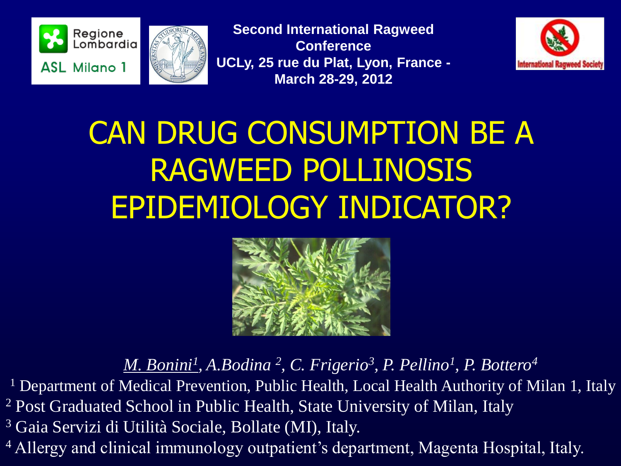



**Second International Ragweed Conference UCLy, 25 rue du Plat, Lyon, France - March 28-29, 2012**



# CAN DRUG CONSUMPTION BE A RAGWEED POLLINOSIS EPIDEMIOLOGY INDICATOR?



*M. Bonini<sup>1</sup> , A.Bodina <sup>2</sup> , C. Frigerio<sup>3</sup> , P. Pellino<sup>1</sup> , P. Bottero<sup>4</sup>*

<sup>1</sup> Department of Medical Prevention, Public Health, Local Health Authority of Milan 1, Italy <sup>2</sup> Post Graduated School in Public Health, State University of Milan, Italy <sup>3</sup> Gaia Servizi di Utilità Sociale, Bollate (MI), Italy.

<sup>4</sup> Allergy and clinical immunology outpatient's department, Magenta Hospital, Italy.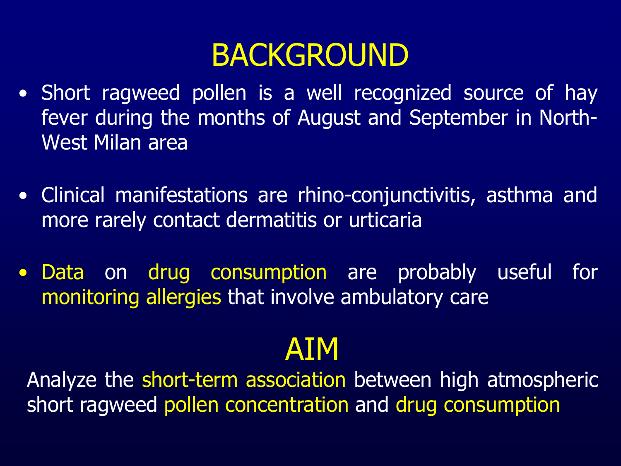#### BACKGROUND

- Short ragweed pollen is a well recognized source of hay fever during the months of August and September in North-West Milan area
- Clinical manifestations are rhino-conjunctivitis, asthma and more rarely contact dermatitis or urticaria
- Data on drug consumption are probably useful for monitoring allergies that involve ambulatory care

#### AIM

Analyze the short-term association between high atmospheric short ragweed pollen concentration and drug consumption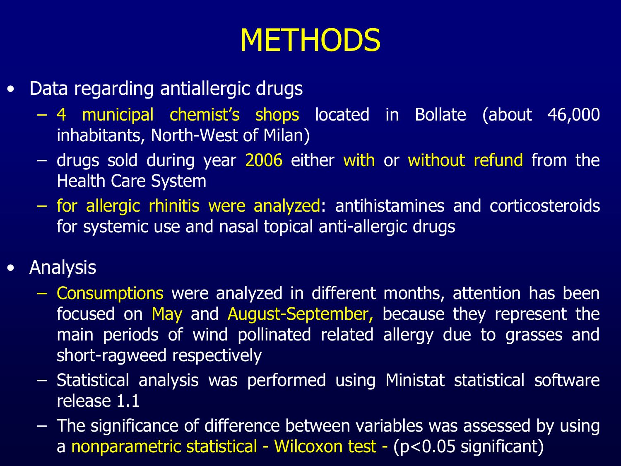### **METHODS**

- Data regarding antiallergic drugs
	- 4 municipal chemist's shops located in Bollate (about 46,000 inhabitants, North-West of Milan)
	- drugs sold during year 2006 either with or without refund from the Health Care System
	- for allergic rhinitis were analyzed: antihistamines and corticosteroids for systemic use and nasal topical anti-allergic drugs
- Analysis
	- Consumptions were analyzed in different months, attention has been focused on May and August-September, because they represent the main periods of wind pollinated related allergy due to grasses and short-ragweed respectively
	- Statistical analysis was performed using Ministat statistical software release 1.1
	- The significance of difference between variables was assessed by using a nonparametric statistical - Wilcoxon test - (p<0.05 significant)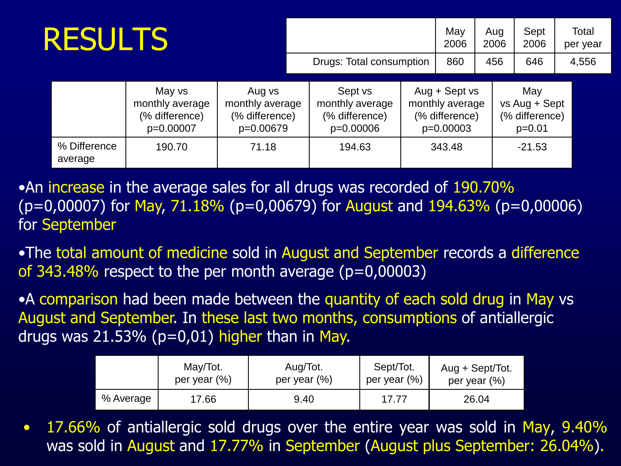| <b>RESULTS</b> |                         |                                                          |                                                          |                          |                                                           |  | May<br>2006                                                       | Aug<br>2006 |  | Sept<br>2006                                       |       | Total<br>per year |
|----------------|-------------------------|----------------------------------------------------------|----------------------------------------------------------|--------------------------|-----------------------------------------------------------|--|-------------------------------------------------------------------|-------------|--|----------------------------------------------------|-------|-------------------|
|                |                         |                                                          |                                                          | Drugs: Total consumption |                                                           |  | 860                                                               | 456         |  | 646                                                | 4,556 |                   |
|                |                         | May vs<br>monthly average<br>(% difference)<br>p=0.00007 | Aug vs<br>monthly average<br>(% difference)<br>p=0.00679 |                          | Sept vs<br>monthly average<br>(% difference)<br>p=0.00006 |  | $Aug + Sept vs$<br>monthly average<br>(% difference)<br>p=0.00003 |             |  | May<br>vs Aug + Sept<br>(% difference)<br>$p=0.01$ |       |                   |
|                | % Difference<br>average | 190.70                                                   | 71.18                                                    |                          | 194.63                                                    |  | 343.48                                                            |             |  | $-21.53$                                           |       |                   |

•An increase in the average sales for all drugs was recorded of 190.70%  $(p=0,00007)$  for May, 71.18% ( $p=0,00679$ ) for August and 194.63% ( $p=0,00006$ ) for September

•The total amount of medicine sold in August and September records a difference of  $343.\overline{48\%}$  respect to the per month average (p=0,00003)

•A comparison had been made between the quantity of each sold drug in May vs August and September. In these last two months, consumptions of antiallergic drugs was  $21.53\%$  (p=0,01) higher than in May.

|           | May/Tot.        | Aug/Tot.        | Sept/Tot.       | Aug + Sept/Tot. |
|-----------|-----------------|-----------------|-----------------|-----------------|
|           | per year $(\%)$ | per year $(\%)$ | per year $(\%)$ | per year $(\%)$ |
| % Average | 17.66           | 9.40            | 17.77           | 26.04           |

• 17.66% of antiallergic sold drugs over the entire year was sold in May, 9.40% was sold in August and 17.77% in September (August plus September: 26.04%).